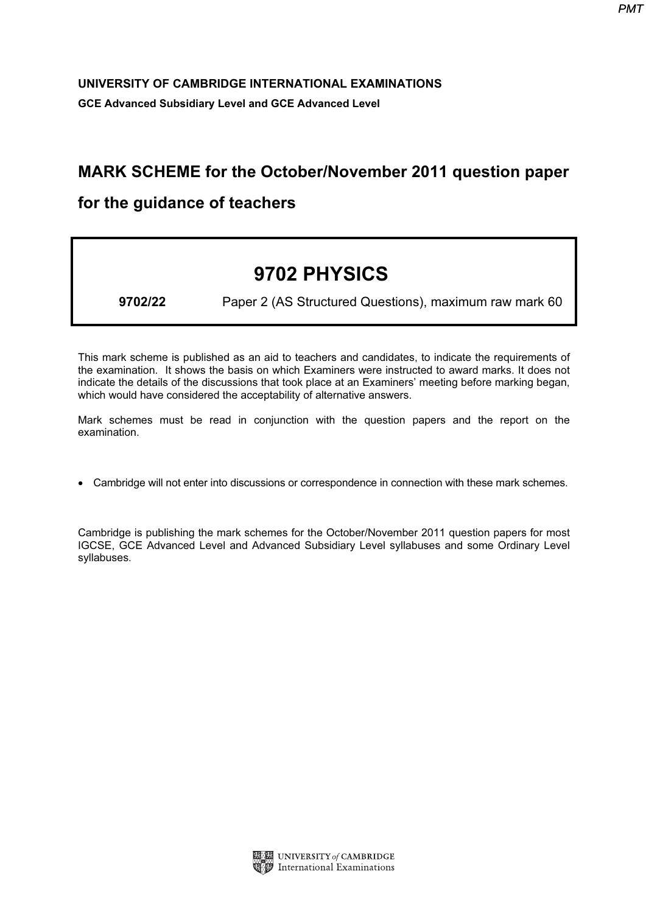## UNIVERSITY OF CAMBRIDGE INTERNATIONAL EXAMINATIONS GCE Advanced Subsidiary Level and GCE Advanced Level

## MARK SCHEME for the October/November 2011 question paper

## for the guidance of teachers

## 9702 PHYSICS

9702/22 Paper 2 (AS Structured Questions), maximum raw mark 60

This mark scheme is published as an aid to teachers and candidates, to indicate the requirements of the examination. It shows the basis on which Examiners were instructed to award marks. It does not indicate the details of the discussions that took place at an Examiners' meeting before marking began, which would have considered the acceptability of alternative answers.

Mark schemes must be read in conjunction with the question papers and the report on the examination.

• Cambridge will not enter into discussions or correspondence in connection with these mark schemes.

Cambridge is publishing the mark schemes for the October/November 2011 question papers for most IGCSE, GCE Advanced Level and Advanced Subsidiary Level syllabuses and some Ordinary Level syllabuses.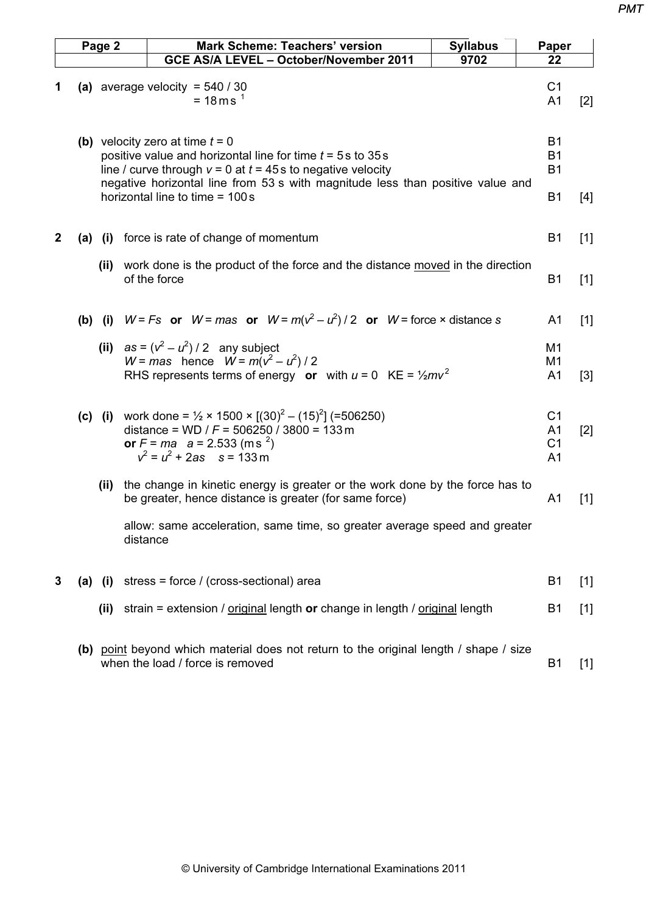| Page 2       |     |                                                                                                                                                                                                                                                         | <b>Mark Scheme: Teachers' version</b> | <b>Syllabus</b>                                                                                                                                                                                             |  | Paper                                                                |       |  |
|--------------|-----|---------------------------------------------------------------------------------------------------------------------------------------------------------------------------------------------------------------------------------------------------------|---------------------------------------|-------------------------------------------------------------------------------------------------------------------------------------------------------------------------------------------------------------|--|----------------------------------------------------------------------|-------|--|
|              |     |                                                                                                                                                                                                                                                         |                                       | GCE AS/A LEVEL - October/November 2011<br>9702                                                                                                                                                              |  | 22                                                                   |       |  |
| 1            |     |                                                                                                                                                                                                                                                         |                                       | (a) average velocity = $540/30$<br>$= 18 \text{ m s}^{-1}$                                                                                                                                                  |  | C <sub>1</sub><br>A <sub>1</sub>                                     | $[2]$ |  |
|              |     | (b) velocity zero at time $t = 0$<br>positive value and horizontal line for time $t = 5$ s to 35 s<br>line / curve through $v = 0$ at $t = 45$ s to negative velocity<br>negative horizontal line from 53 s with magnitude less than positive value and |                                       |                                                                                                                                                                                                             |  | <b>B1</b><br><b>B1</b><br><b>B1</b>                                  |       |  |
|              |     |                                                                                                                                                                                                                                                         |                                       | horizontal line to time = 100s                                                                                                                                                                              |  | <b>B1</b>                                                            | [4]   |  |
| $\mathbf{2}$ |     |                                                                                                                                                                                                                                                         |                                       | (a) (i) force is rate of change of momentum                                                                                                                                                                 |  | <b>B1</b>                                                            | $[1]$ |  |
|              |     |                                                                                                                                                                                                                                                         |                                       | (ii) work done is the product of the force and the distance moved in the direction<br>of the force                                                                                                          |  | <b>B1</b>                                                            | $[1]$ |  |
|              |     |                                                                                                                                                                                                                                                         |                                       | (b) (i) $W = Fs$ or $W = mas$ or $W = m(v^2 - u^2)/2$ or $W =$ force x distance s                                                                                                                           |  | A <sub>1</sub>                                                       | $[1]$ |  |
|              |     |                                                                                                                                                                                                                                                         |                                       | (ii) $as = (v^2 - u^2)/2$ any subject<br>$W = mas$ hence $W = m(v^2 - u^2)/2$<br>RHS represents terms of energy or with $u = 0$ KE = $\frac{1}{2}mv^2$                                                      |  | M1<br>M1<br>A <sub>1</sub>                                           | $[3]$ |  |
|              |     |                                                                                                                                                                                                                                                         |                                       | (c) (i) work done = $\frac{1}{2} \times 1500 \times [(30)^2 - (15)^2]$ (=506250)<br>distance = WD / $F = 506250$ / 3800 = 133 m<br>or $F = ma$ a = 2.533 (m s <sup>2</sup> )<br>$v^2 = u^2 + 2as$ s = 133 m |  | C <sub>1</sub><br>A <sub>1</sub><br>C <sub>1</sub><br>A <sub>1</sub> | $[2]$ |  |
|              |     |                                                                                                                                                                                                                                                         |                                       | (ii) the change in kinetic energy is greater or the work done by the force has to<br>be greater, hence distance is greater (for same force)                                                                 |  | A <sub>1</sub>                                                       | $[1]$ |  |
|              |     |                                                                                                                                                                                                                                                         | distance                              | allow: same acceleration, same time, so greater average speed and greater                                                                                                                                   |  |                                                                      |       |  |
| 3            | (a) | (i)                                                                                                                                                                                                                                                     |                                       | stress = force / (cross-sectional) area                                                                                                                                                                     |  | B <sub>1</sub>                                                       | $[1]$ |  |
|              |     | (ii)                                                                                                                                                                                                                                                    |                                       | strain = extension / original length or change in length / original length                                                                                                                                  |  | B <sub>1</sub>                                                       | $[1]$ |  |
|              |     |                                                                                                                                                                                                                                                         |                                       | (b) point beyond which material does not return to the original length / shape / size<br>when the load / force is removed                                                                                   |  | B <sub>1</sub>                                                       | $[1]$ |  |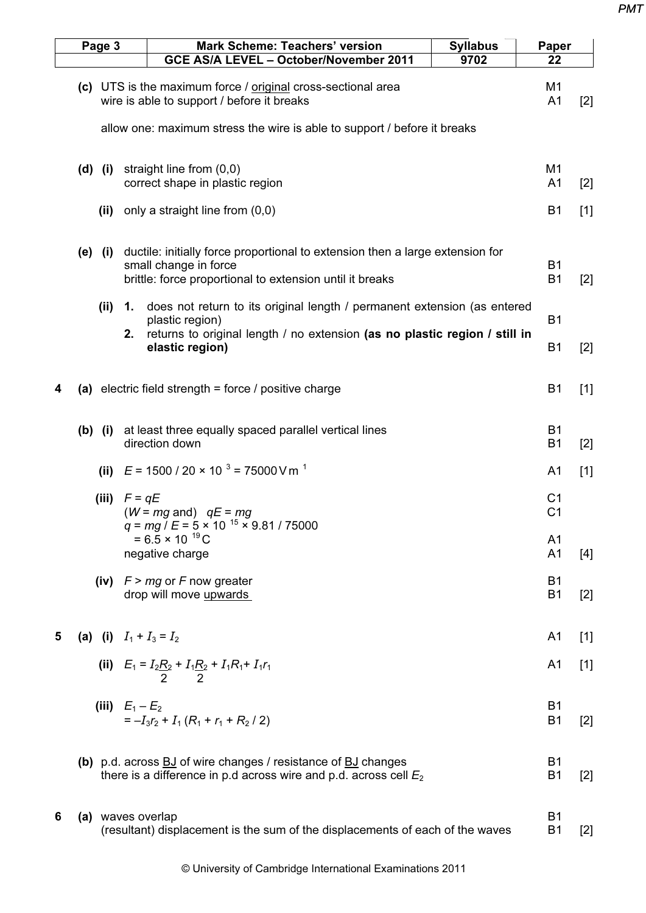| Page 3 |  |                                                                          |                   | <b>Mark Scheme: Teachers' version</b><br>GCE AS/A LEVEL - October/November 2011                                                                                                              | <b>Syllabus</b><br>9702 | Paper<br>22                      |       |
|--------|--|--------------------------------------------------------------------------|-------------------|----------------------------------------------------------------------------------------------------------------------------------------------------------------------------------------------|-------------------------|----------------------------------|-------|
|        |  |                                                                          |                   | (c) UTS is the maximum force / original cross-sectional area<br>wire is able to support / before it breaks                                                                                   |                         | M1<br>A <sub>1</sub>             | $[2]$ |
|        |  | allow one: maximum stress the wire is able to support / before it breaks |                   |                                                                                                                                                                                              |                         |                                  |       |
|        |  | (d) (i)                                                                  |                   | straight line from $(0,0)$<br>correct shape in plastic region                                                                                                                                |                         | M <sub>1</sub><br>A <sub>1</sub> | $[2]$ |
|        |  | (ii)                                                                     |                   | only a straight line from (0,0)                                                                                                                                                              |                         | <b>B1</b>                        | $[1]$ |
|        |  | (e) (i)                                                                  |                   | ductile: initially force proportional to extension then a large extension for<br>small change in force<br>brittle: force proportional to extension until it breaks                           |                         | <b>B1</b><br><b>B1</b>           | $[2]$ |
|        |  | (ii)                                                                     | 1.<br>2.          | does not return to its original length / permanent extension (as entered<br>plastic region)<br>returns to original length / no extension (as no plastic region / still in<br>elastic region) |                         | <b>B1</b><br><b>B1</b>           | $[2]$ |
| 4      |  |                                                                          |                   | (a) electric field strength = force / positive charge                                                                                                                                        |                         | B <sub>1</sub>                   | $[1]$ |
|        |  | $(b)$ (i)                                                                |                   | at least three equally spaced parallel vertical lines<br>direction down                                                                                                                      |                         | <b>B1</b><br><b>B1</b>           | $[2]$ |
|        |  | (ii)                                                                     |                   | $E = 1500 / 20 \times 10^{-3} = 75000$ V m <sup>-1</sup>                                                                                                                                     |                         | A <sub>1</sub>                   | $[1]$ |
|        |  | (iii)                                                                    | $F = qE$          | $(W = mg$ and) $qE = mg$<br>$q = mg / E = 5 \times 10^{-15} \times 9.81 / 75000$                                                                                                             |                         | C <sub>1</sub><br>C <sub>1</sub> |       |
|        |  |                                                                          |                   | $= 6.5 \times 10^{-19}$ C<br>negative charge                                                                                                                                                 |                         | A <sub>1</sub><br>A <sub>1</sub> | $[4]$ |
|        |  |                                                                          |                   | (iv) $F > mg$ or F now greater<br>drop will move upwards                                                                                                                                     |                         | <b>B1</b><br><b>B1</b>           | $[2]$ |
| 5      |  |                                                                          |                   | (a) (i) $I_1 + I_3 = I_2$                                                                                                                                                                    |                         | A <sub>1</sub>                   | $[1]$ |
|        |  |                                                                          |                   | (ii) $E_1 = I_2 \frac{R_2}{2} + I_1 \frac{R_2}{2} + I_1 R_1 + I_1 r_1$                                                                                                                       |                         | A <sub>1</sub>                   | $[1]$ |
|        |  |                                                                          | (iii) $E_1 - E_2$ | $=-I_3r_2+I_1(R_1+r_1+R_2/2)$                                                                                                                                                                |                         | <b>B1</b><br>B <sub>1</sub>      | $[2]$ |
|        |  |                                                                          |                   | (b) $p.d.$ across $BJ$ of wire changes / resistance of $BJ$ changes<br>there is a difference in p.d across wire and p.d. across cell $E_2$                                                   |                         | <b>B1</b><br>B <sub>1</sub>      | $[2]$ |
| 6      |  |                                                                          |                   | (a) waves overlap<br>(resultant) displacement is the sum of the displacements of each of the waves                                                                                           |                         | <b>B1</b><br>B <sub>1</sub>      | $[2]$ |